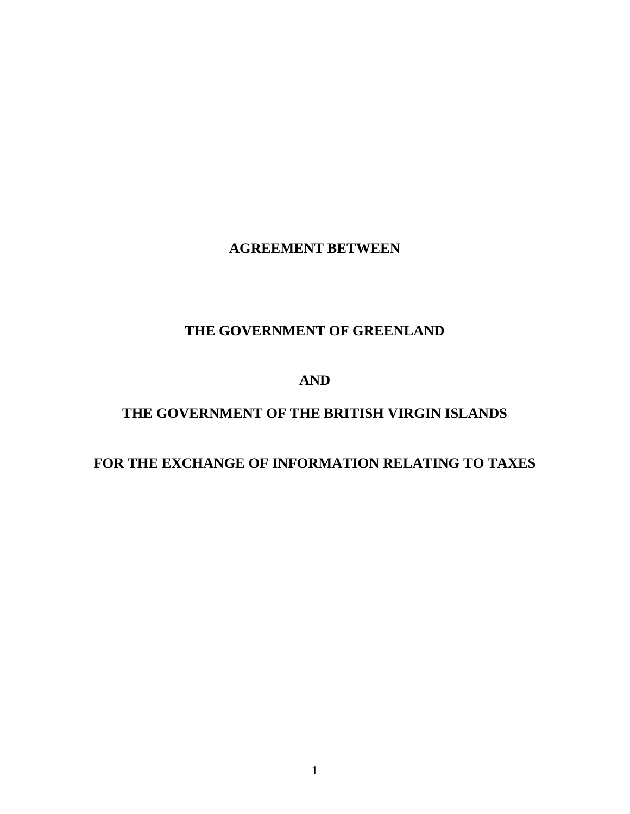# **AGREEMENT BETWEEN**

# **THE GOVERNMENT OF GREENLAND**

## **AND**

## **THE GOVERNMENT OF THE BRITISH VIRGIN ISLANDS**

## **FOR THE EXCHANGE OF INFORMATION RELATING TO TAXES**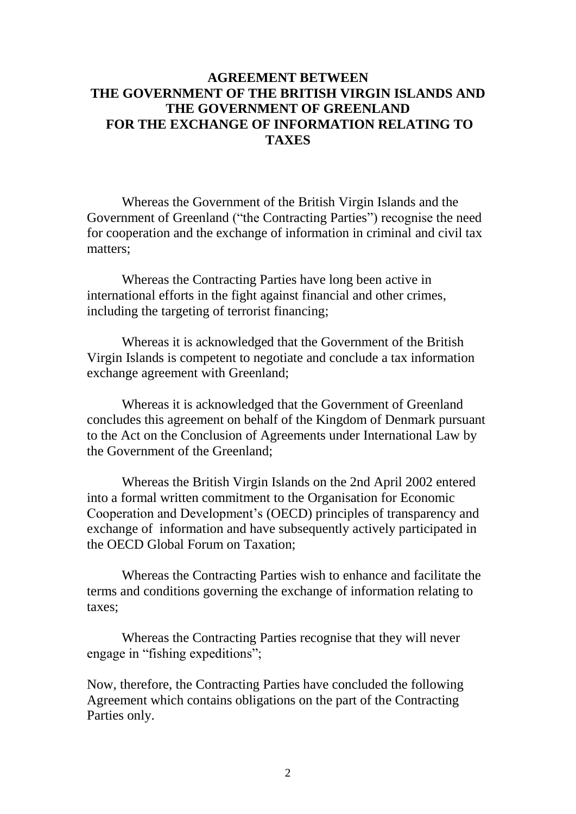## **AGREEMENT BETWEEN THE GOVERNMENT OF THE BRITISH VIRGIN ISLANDS AND THE GOVERNMENT OF GREENLAND FOR THE EXCHANGE OF INFORMATION RELATING TO TAXES**

Whereas the Government of the British Virgin Islands and the Government of Greenland ("the Contracting Parties") recognise the need for cooperation and the exchange of information in criminal and civil tax matters;

Whereas the Contracting Parties have long been active in international efforts in the fight against financial and other crimes, including the targeting of terrorist financing;

Whereas it is acknowledged that the Government of the British Virgin Islands is competent to negotiate and conclude a tax information exchange agreement with Greenland;

Whereas it is acknowledged that the Government of Greenland concludes this agreement on behalf of the Kingdom of Denmark pursuant to the Act on the Conclusion of Agreements under International Law by the Government of the Greenland;

Whereas the British Virgin Islands on the 2nd April 2002 entered into a formal written commitment to the Organisation for Economic Cooperation and Development's (OECD) principles of transparency and exchange of information and have subsequently actively participated in the OECD Global Forum on Taxation;

Whereas the Contracting Parties wish to enhance and facilitate the terms and conditions governing the exchange of information relating to taxes;

Whereas the Contracting Parties recognise that they will never engage in "fishing expeditions";

Now, therefore, the Contracting Parties have concluded the following Agreement which contains obligations on the part of the Contracting Parties only.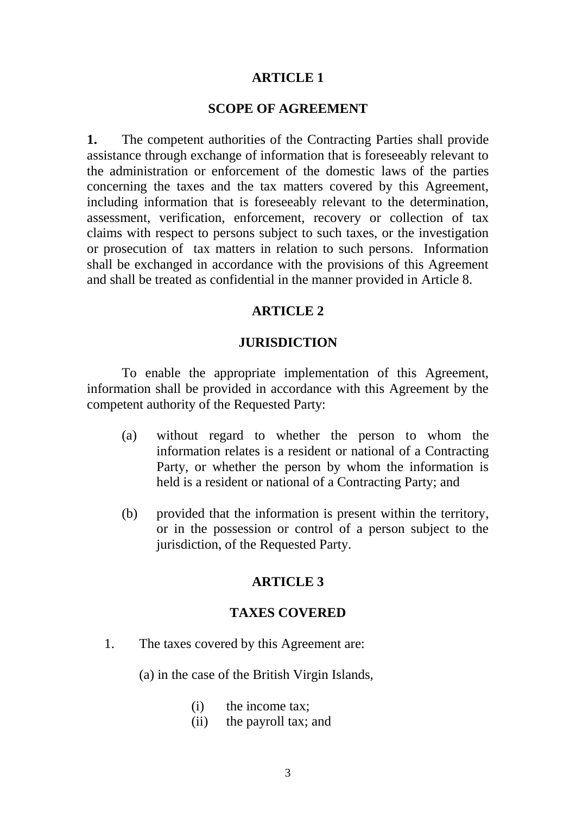#### **SCOPE OF AGREEMENT**

**1.** The competent authorities of the Contracting Parties shall provide assistance through exchange of information that is foreseeably relevant to the administration or enforcement of the domestic laws of the parties concerning the taxes and the tax matters covered by this Agreement, including information that is foreseeably relevant to the determination, assessment, verification, enforcement, recovery or collection of tax claims with respect to persons subject to such taxes, or the investigation or prosecution of tax matters in relation to such persons. Information shall be exchanged in accordance with the provisions of this Agreement and shall be treated as confidential in the manner provided in Article 8.

#### **ARTICLE 2**

#### **JURISDICTION**

To enable the appropriate implementation of this Agreement, information shall be provided in accordance with this Agreement by the competent authority of the Requested Party:

- (a) without regard to whether the person to whom the information relates is a resident or national of a Contracting Party, or whether the person by whom the information is held is a resident or national of a Contracting Party; and
- (b) provided that the information is present within the territory, or in the possession or control of a person subject to the jurisdiction, of the Requested Party.

#### **ARTICLE 3**

#### **TAXES COVERED**

1. The taxes covered by this Agreement are:

(a) in the case of the British Virgin Islands,

- (i) the income tax;
- (ii) the payroll tax; and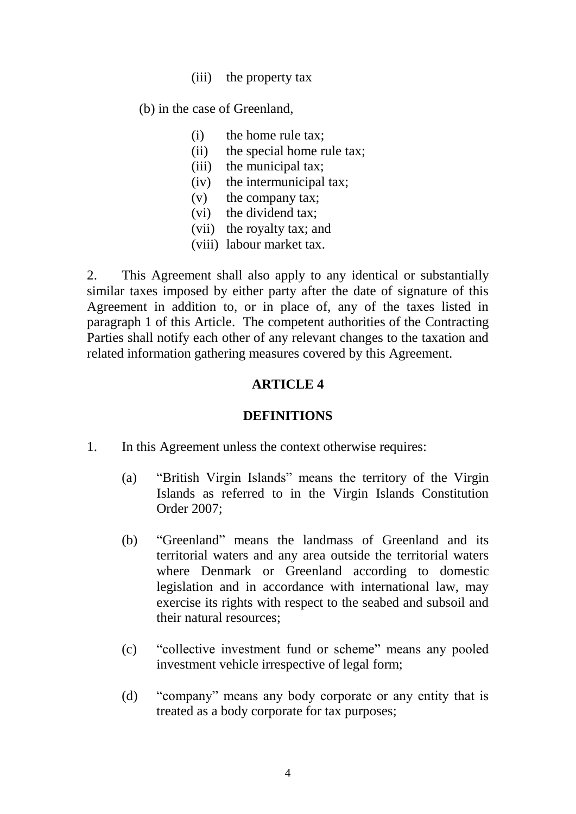(iii) the property tax

(b) in the case of Greenland,

- (i) the home rule tax;
- (ii) the special home rule tax;
- (iii) the municipal tax;
- (iv) the intermunicipal tax;
- (v) the company tax;
- (vi) the dividend tax;
- (vii) the royalty tax; and
- (viii) labour market tax.

2. This Agreement shall also apply to any identical or substantially similar taxes imposed by either party after the date of signature of this Agreement in addition to, or in place of, any of the taxes listed in paragraph 1 of this Article. The competent authorities of the Contracting Parties shall notify each other of any relevant changes to the taxation and related information gathering measures covered by this Agreement.

## **ARTICLE 4**

## **DEFINITIONS**

- 1. In this Agreement unless the context otherwise requires:
	- (a) "British Virgin Islands" means the territory of the Virgin Islands as referred to in the Virgin Islands Constitution Order 2007;
	- (b) "Greenland" means the landmass of Greenland and its territorial waters and any area outside the territorial waters where Denmark or Greenland according to domestic legislation and in accordance with international law, may exercise its rights with respect to the seabed and subsoil and their natural resources;
	- (c) "collective investment fund or scheme" means any pooled investment vehicle irrespective of legal form;
	- (d) "company" means any body corporate or any entity that is treated as a body corporate for tax purposes;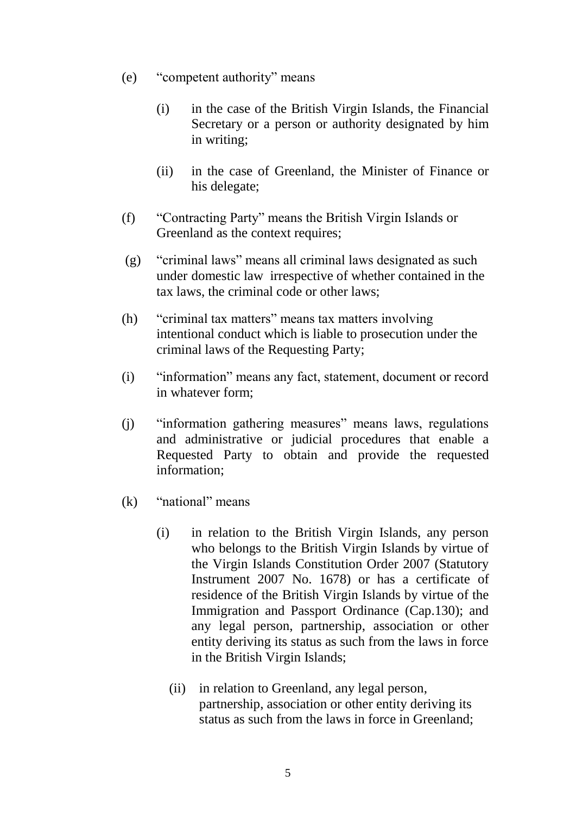- (e) "competent authority" means
	- (i) in the case of the British Virgin Islands, the Financial Secretary or a person or authority designated by him in writing;
	- (ii) in the case of Greenland, the Minister of Finance or his delegate;
- (f) "Contracting Party" means the British Virgin Islands or Greenland as the context requires;
- (g) "criminal laws" means all criminal laws designated as such under domestic law irrespective of whether contained in the tax laws, the criminal code or other laws;
- (h) "criminal tax matters" means tax matters involving intentional conduct which is liable to prosecution under the criminal laws of the Requesting Party;
- (i) "information" means any fact, statement, document or record in whatever form;
- (j) "information gathering measures" means laws, regulations and administrative or judicial procedures that enable a Requested Party to obtain and provide the requested information;
- (k) "national" means
	- (i) in relation to the British Virgin Islands, any person who belongs to the British Virgin Islands by virtue of the Virgin Islands Constitution Order 2007 (Statutory Instrument 2007 No. 1678) or has a certificate of residence of the British Virgin Islands by virtue of the Immigration and Passport Ordinance (Cap.130); and any legal person, partnership, association or other entity deriving its status as such from the laws in force in the British Virgin Islands;
		- (ii) in relation to Greenland, any legal person, partnership, association or other entity deriving its status as such from the laws in force in Greenland;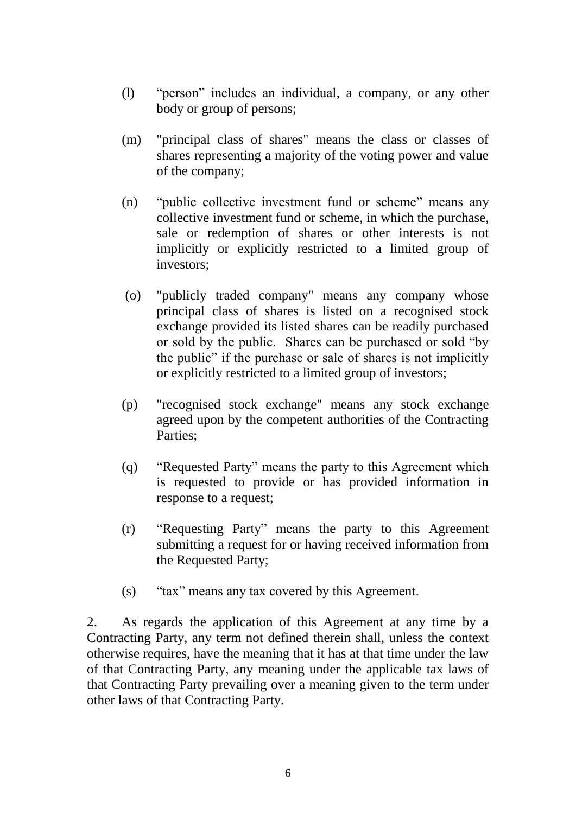- (l) "person" includes an individual, a company, or any other body or group of persons;
- (m) "principal class of shares" means the class or classes of shares representing a majority of the voting power and value of the company;
- (n) "public collective investment fund or scheme" means any collective investment fund or scheme, in which the purchase, sale or redemption of shares or other interests is not implicitly or explicitly restricted to a limited group of investors;
- (o) "publicly traded company" means any company whose principal class of shares is listed on a recognised stock exchange provided its listed shares can be readily purchased or sold by the public. Shares can be purchased or sold "by the public" if the purchase or sale of shares is not implicitly or explicitly restricted to a limited group of investors;
- (p) "recognised stock exchange" means any stock exchange agreed upon by the competent authorities of the Contracting Parties;
- (q) "Requested Party" means the party to this Agreement which is requested to provide or has provided information in response to a request;
- (r) "Requesting Party" means the party to this Agreement submitting a request for or having received information from the Requested Party;
- (s) "tax" means any tax covered by this Agreement.

2. As regards the application of this Agreement at any time by a Contracting Party, any term not defined therein shall, unless the context otherwise requires, have the meaning that it has at that time under the law of that Contracting Party, any meaning under the applicable tax laws of that Contracting Party prevailing over a meaning given to the term under other laws of that Contracting Party.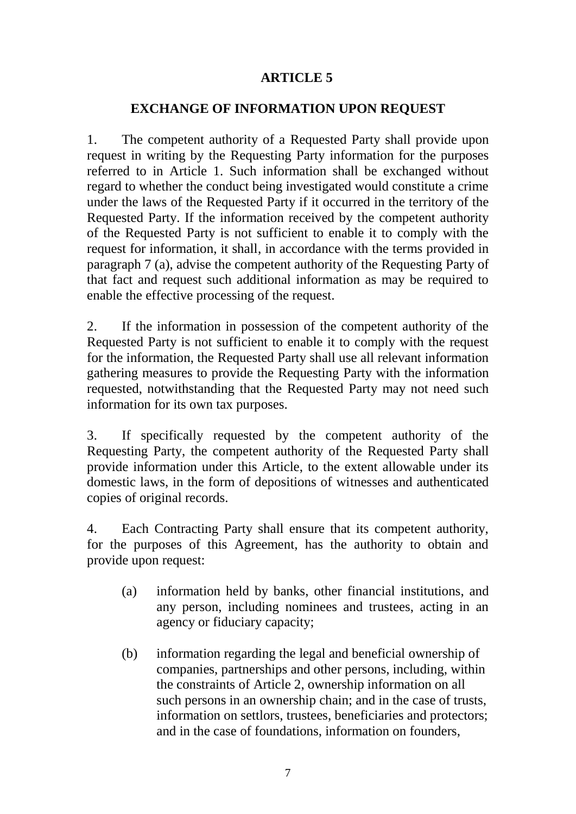## **EXCHANGE OF INFORMATION UPON REQUEST**

1. The competent authority of a Requested Party shall provide upon request in writing by the Requesting Party information for the purposes referred to in Article 1. Such information shall be exchanged without regard to whether the conduct being investigated would constitute a crime under the laws of the Requested Party if it occurred in the territory of the Requested Party. If the information received by the competent authority of the Requested Party is not sufficient to enable it to comply with the request for information, it shall, in accordance with the terms provided in paragraph 7 (a), advise the competent authority of the Requesting Party of that fact and request such additional information as may be required to enable the effective processing of the request.

2. If the information in possession of the competent authority of the Requested Party is not sufficient to enable it to comply with the request for the information, the Requested Party shall use all relevant information gathering measures to provide the Requesting Party with the information requested, notwithstanding that the Requested Party may not need such information for its own tax purposes.

3. If specifically requested by the competent authority of the Requesting Party, the competent authority of the Requested Party shall provide information under this Article, to the extent allowable under its domestic laws, in the form of depositions of witnesses and authenticated copies of original records.

4. Each Contracting Party shall ensure that its competent authority, for the purposes of this Agreement, has the authority to obtain and provide upon request:

- (a) information held by banks, other financial institutions, and any person, including nominees and trustees, acting in an agency or fiduciary capacity;
- (b) information regarding the legal and beneficial ownership of companies, partnerships and other persons, including, within the constraints of Article 2, ownership information on all such persons in an ownership chain; and in the case of trusts, information on settlors, trustees, beneficiaries and protectors; and in the case of foundations, information on founders,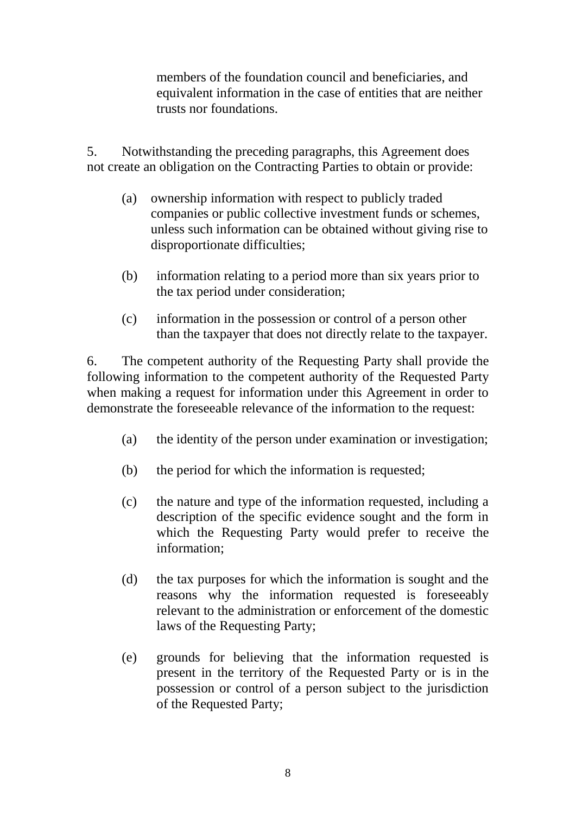members of the foundation council and beneficiaries, and equivalent information in the case of entities that are neither trusts nor foundations.

5. Notwithstanding the preceding paragraphs, this Agreement does not create an obligation on the Contracting Parties to obtain or provide:

- (a) ownership information with respect to publicly traded companies or public collective investment funds or schemes, unless such information can be obtained without giving rise to disproportionate difficulties;
- (b) information relating to a period more than six years prior to the tax period under consideration;
- (c) information in the possession or control of a person other than the taxpayer that does not directly relate to the taxpayer.

6. The competent authority of the Requesting Party shall provide the following information to the competent authority of the Requested Party when making a request for information under this Agreement in order to demonstrate the foreseeable relevance of the information to the request:

- (a) the identity of the person under examination or investigation;
- (b) the period for which the information is requested;
- (c) the nature and type of the information requested, including a description of the specific evidence sought and the form in which the Requesting Party would prefer to receive the information;
- (d) the tax purposes for which the information is sought and the reasons why the information requested is foreseeably relevant to the administration or enforcement of the domestic laws of the Requesting Party;
- (e) grounds for believing that the information requested is present in the territory of the Requested Party or is in the possession or control of a person subject to the jurisdiction of the Requested Party;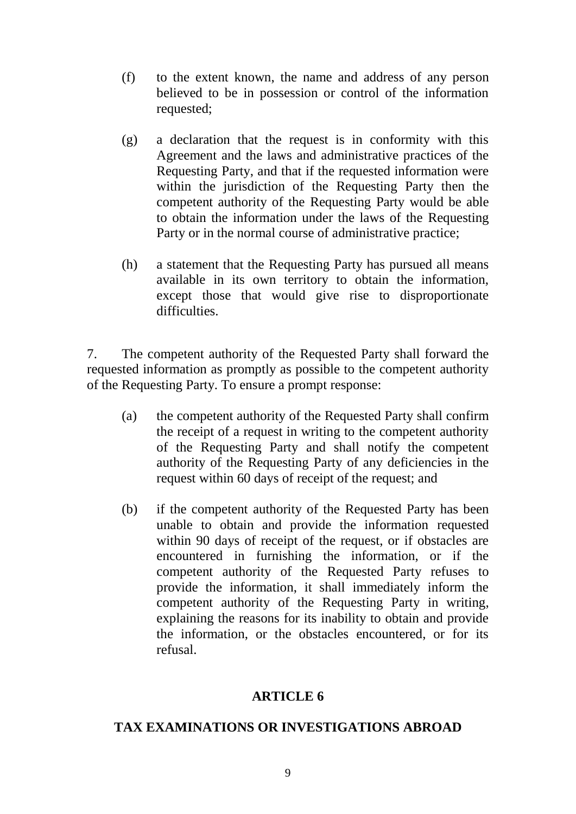- (f) to the extent known, the name and address of any person believed to be in possession or control of the information requested;
- (g) a declaration that the request is in conformity with this Agreement and the laws and administrative practices of the Requesting Party, and that if the requested information were within the jurisdiction of the Requesting Party then the competent authority of the Requesting Party would be able to obtain the information under the laws of the Requesting Party or in the normal course of administrative practice;
- (h) a statement that the Requesting Party has pursued all means available in its own territory to obtain the information, except those that would give rise to disproportionate difficulties.

7. The competent authority of the Requested Party shall forward the requested information as promptly as possible to the competent authority of the Requesting Party. To ensure a prompt response:

- (a) the competent authority of the Requested Party shall confirm the receipt of a request in writing to the competent authority of the Requesting Party and shall notify the competent authority of the Requesting Party of any deficiencies in the request within 60 days of receipt of the request; and
- (b) if the competent authority of the Requested Party has been unable to obtain and provide the information requested within 90 days of receipt of the request, or if obstacles are encountered in furnishing the information, or if the competent authority of the Requested Party refuses to provide the information, it shall immediately inform the competent authority of the Requesting Party in writing, explaining the reasons for its inability to obtain and provide the information, or the obstacles encountered, or for its refusal.

## **ARTICLE 6**

## **TAX EXAMINATIONS OR INVESTIGATIONS ABROAD**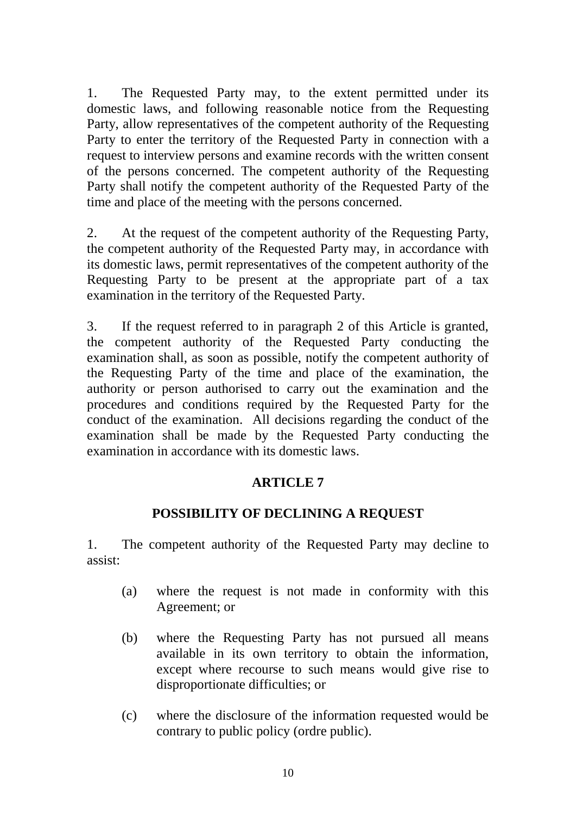1. The Requested Party may, to the extent permitted under its domestic laws, and following reasonable notice from the Requesting Party, allow representatives of the competent authority of the Requesting Party to enter the territory of the Requested Party in connection with a request to interview persons and examine records with the written consent of the persons concerned. The competent authority of the Requesting Party shall notify the competent authority of the Requested Party of the time and place of the meeting with the persons concerned.

2. At the request of the competent authority of the Requesting Party, the competent authority of the Requested Party may, in accordance with its domestic laws, permit representatives of the competent authority of the Requesting Party to be present at the appropriate part of a tax examination in the territory of the Requested Party.

3. If the request referred to in paragraph 2 of this Article is granted, the competent authority of the Requested Party conducting the examination shall, as soon as possible, notify the competent authority of the Requesting Party of the time and place of the examination, the authority or person authorised to carry out the examination and the procedures and conditions required by the Requested Party for the conduct of the examination. All decisions regarding the conduct of the examination shall be made by the Requested Party conducting the examination in accordance with its domestic laws.

# **ARTICLE 7**

# **POSSIBILITY OF DECLINING A REQUEST**

1. The competent authority of the Requested Party may decline to assist:

- (a) where the request is not made in conformity with this Agreement; or
- (b) where the Requesting Party has not pursued all means available in its own territory to obtain the information, except where recourse to such means would give rise to disproportionate difficulties; or
- (c) where the disclosure of the information requested would be contrary to public policy (ordre public).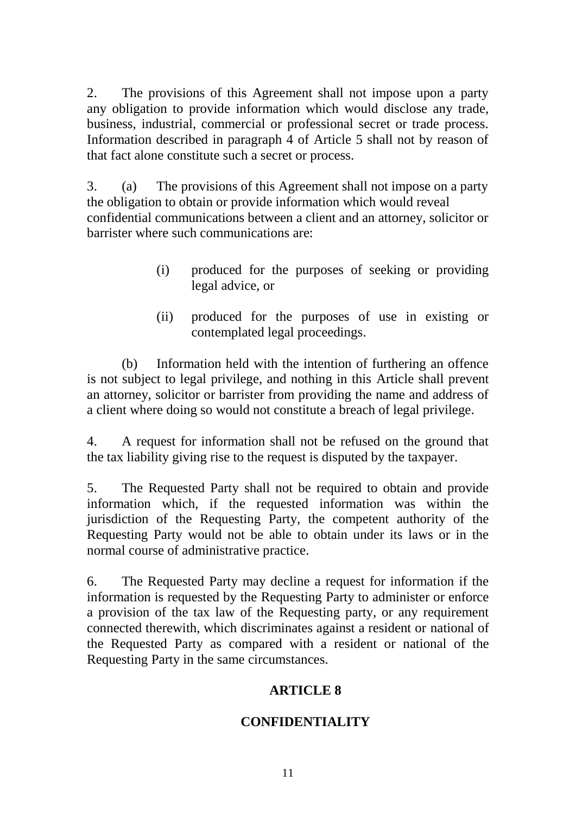2. The provisions of this Agreement shall not impose upon a party any obligation to provide information which would disclose any trade, business, industrial, commercial or professional secret or trade process. Information described in paragraph 4 of Article 5 shall not by reason of that fact alone constitute such a secret or process.

3. (a) The provisions of this Agreement shall not impose on a party the obligation to obtain or provide information which would reveal confidential communications between a client and an attorney, solicitor or barrister where such communications are:

- (i) produced for the purposes of seeking or providing legal advice, or
- (ii) produced for the purposes of use in existing or contemplated legal proceedings.

(b) Information held with the intention of furthering an offence is not subject to legal privilege, and nothing in this Article shall prevent an attorney, solicitor or barrister from providing the name and address of a client where doing so would not constitute a breach of legal privilege.

4. A request for information shall not be refused on the ground that the tax liability giving rise to the request is disputed by the taxpayer.

5. The Requested Party shall not be required to obtain and provide information which, if the requested information was within the jurisdiction of the Requesting Party, the competent authority of the Requesting Party would not be able to obtain under its laws or in the normal course of administrative practice.

6. The Requested Party may decline a request for information if the information is requested by the Requesting Party to administer or enforce a provision of the tax law of the Requesting party, or any requirement connected therewith, which discriminates against a resident or national of the Requested Party as compared with a resident or national of the Requesting Party in the same circumstances.

# **ARTICLE 8**

# **CONFIDENTIALITY**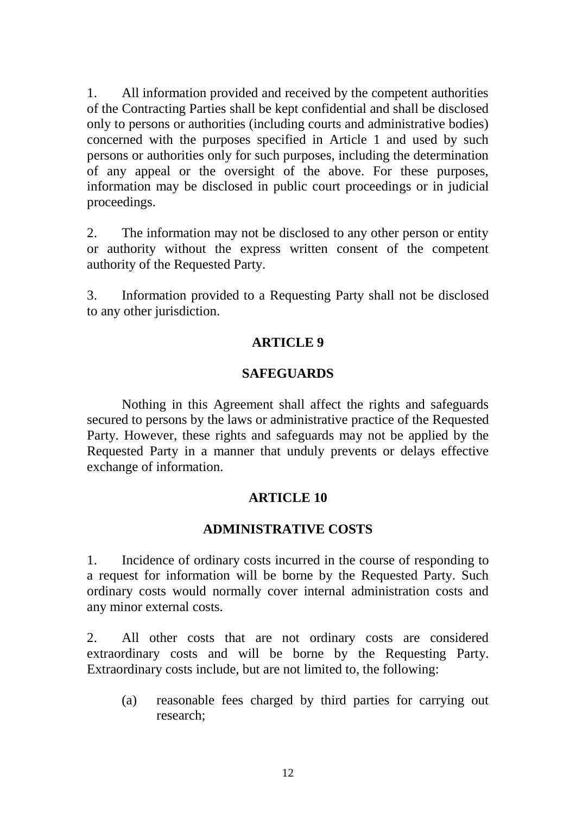1. All information provided and received by the competent authorities of the Contracting Parties shall be kept confidential and shall be disclosed only to persons or authorities (including courts and administrative bodies) concerned with the purposes specified in Article 1 and used by such persons or authorities only for such purposes, including the determination of any appeal or the oversight of the above. For these purposes, information may be disclosed in public court proceedings or in judicial proceedings.

2. The information may not be disclosed to any other person or entity or authority without the express written consent of the competent authority of the Requested Party.

3. Information provided to a Requesting Party shall not be disclosed to any other jurisdiction.

## **ARTICLE 9**

## **SAFEGUARDS**

Nothing in this Agreement shall affect the rights and safeguards secured to persons by the laws or administrative practice of the Requested Party. However, these rights and safeguards may not be applied by the Requested Party in a manner that unduly prevents or delays effective exchange of information.

# **ARTICLE 10**

## **ADMINISTRATIVE COSTS**

1. Incidence of ordinary costs incurred in the course of responding to a request for information will be borne by the Requested Party. Such ordinary costs would normally cover internal administration costs and any minor external costs.

2. All other costs that are not ordinary costs are considered extraordinary costs and will be borne by the Requesting Party. Extraordinary costs include, but are not limited to, the following:

(a) reasonable fees charged by third parties for carrying out research;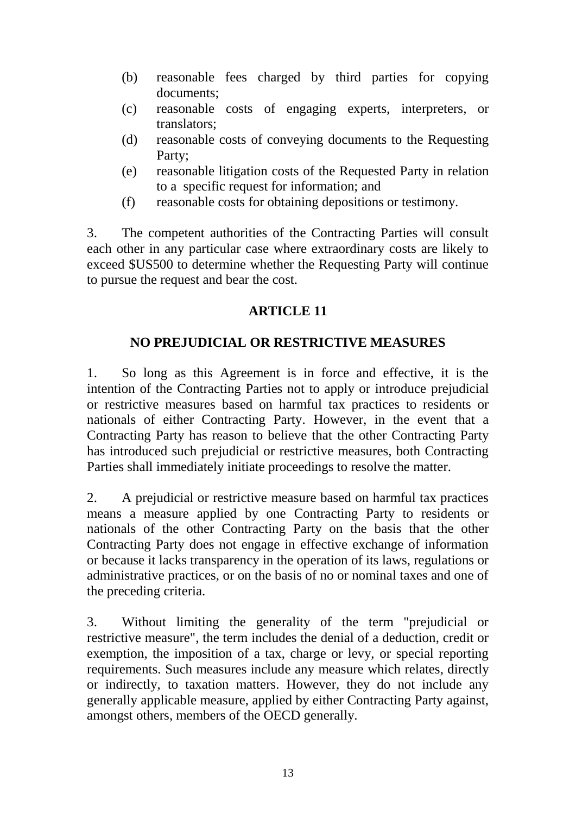- (b) reasonable fees charged by third parties for copying documents;
- (c) reasonable costs of engaging experts, interpreters, or translators;
- (d) reasonable costs of conveying documents to the Requesting Party;
- (e) reasonable litigation costs of the Requested Party in relation to a specific request for information; and
- (f) reasonable costs for obtaining depositions or testimony.

3. The competent authorities of the Contracting Parties will consult each other in any particular case where extraordinary costs are likely to exceed \$US500 to determine whether the Requesting Party will continue to pursue the request and bear the cost.

# **ARTICLE 11**

# **NO PREJUDICIAL OR RESTRICTIVE MEASURES**

1. So long as this Agreement is in force and effective, it is the intention of the Contracting Parties not to apply or introduce prejudicial or restrictive measures based on harmful tax practices to residents or nationals of either Contracting Party. However, in the event that a Contracting Party has reason to believe that the other Contracting Party has introduced such prejudicial or restrictive measures, both Contracting Parties shall immediately initiate proceedings to resolve the matter.

2. A prejudicial or restrictive measure based on harmful tax practices means a measure applied by one Contracting Party to residents or nationals of the other Contracting Party on the basis that the other Contracting Party does not engage in effective exchange of information or because it lacks transparency in the operation of its laws, regulations or administrative practices, or on the basis of no or nominal taxes and one of the preceding criteria.

3. Without limiting the generality of the term "prejudicial or restrictive measure", the term includes the denial of a deduction, credit or exemption, the imposition of a tax, charge or levy, or special reporting requirements. Such measures include any measure which relates, directly or indirectly, to taxation matters. However, they do not include any generally applicable measure, applied by either Contracting Party against, amongst others, members of the OECD generally.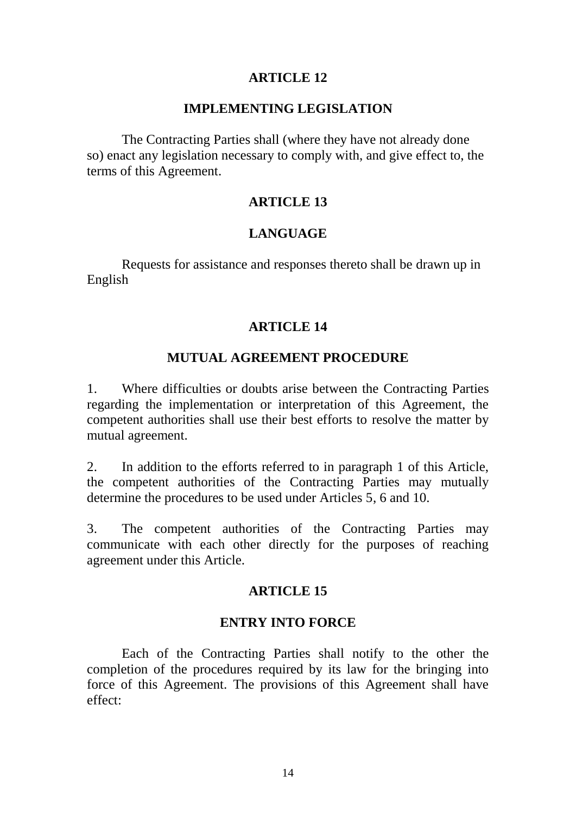#### **IMPLEMENTING LEGISLATION**

The Contracting Parties shall (where they have not already done so) enact any legislation necessary to comply with, and give effect to, the terms of this Agreement.

#### **ARTICLE 13**

### **LANGUAGE**

Requests for assistance and responses thereto shall be drawn up in English

#### **ARTICLE 14**

### **MUTUAL AGREEMENT PROCEDURE**

1. Where difficulties or doubts arise between the Contracting Parties regarding the implementation or interpretation of this Agreement, the competent authorities shall use their best efforts to resolve the matter by mutual agreement.

2. In addition to the efforts referred to in paragraph 1 of this Article, the competent authorities of the Contracting Parties may mutually determine the procedures to be used under Articles 5, 6 and 10.

3. The competent authorities of the Contracting Parties may communicate with each other directly for the purposes of reaching agreement under this Article.

#### **ARTICLE 15**

#### **ENTRY INTO FORCE**

Each of the Contracting Parties shall notify to the other the completion of the procedures required by its law for the bringing into force of this Agreement. The provisions of this Agreement shall have effect: